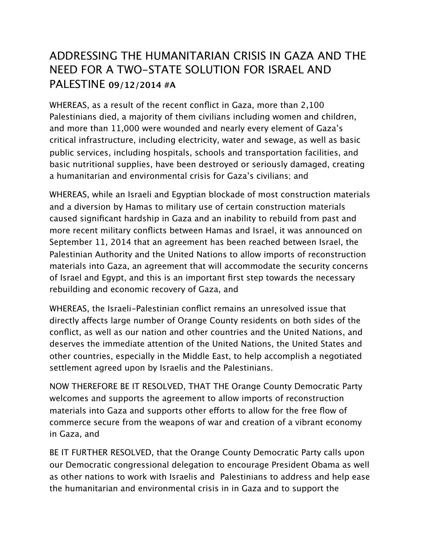## ADDRESSING THE HUMANITARIAN CRISIS IN GAZA AND THE NEED FOR A TWO-STATE SOLUTION FOR ISRAEL AND PALESTINE **09/12/2014 #A**

WHEREAS, as a result of the recent conflict in Gaza, more than 2,100 Palestinians died, a majority of them civilians including women and children, and more than 11,000 were wounded and nearly every element of Gaza's critical infrastructure, including electricity, water and sewage, as well as basic public services, including hospitals, schools and transportation facilities, and basic nutritional supplies, have been destroyed or seriously damaged, creating a humanitarian and environmental crisis for Gaza's civilians; and

WHEREAS, while an Israeli and Egyptian blockade of most construction materials and a diversion by Hamas to military use of certain construction materials caused significant hardship in Gaza and an inability to rebuild from past and more recent military conflicts between Hamas and Israel, it was announced on September 11, 2014 that an agreement has been reached between Israel, the Palestinian Authority and the United Nations to allow imports of reconstruction materials into Gaza, an agreement that will accommodate the security concerns of Israel and Egypt, and this is an important first step towards the necessary rebuilding and economic recovery of Gaza, and

WHEREAS, the Israeli-Palestinian conflict remains an unresolved issue that directly afects large number of Orange County residents on both sides of the conflict, as well as our nation and other countries and the United Nations, and deserves the immediate attention of the United Nations, the United States and other countries, especially in the Middle East, to help accomplish a negotiated settlement agreed upon by Israelis and the Palestinians.

NOW THEREFORE BE IT RESOLVED, THAT THE Orange County Democratic Party welcomes and supports the agreement to allow imports of reconstruction materials into Gaza and supports other efforts to allow for the free flow of commerce secure from the weapons of war and creation of a vibrant economy in Gaza, and

BE IT FURTHER RESOLVED, that the Orange County Democratic Party calls upon our Democratic congressional delegation to encourage President Obama as well as other nations to work with Israelis and Palestinians to address and help ease the humanitarian and environmental crisis in in Gaza and to support the